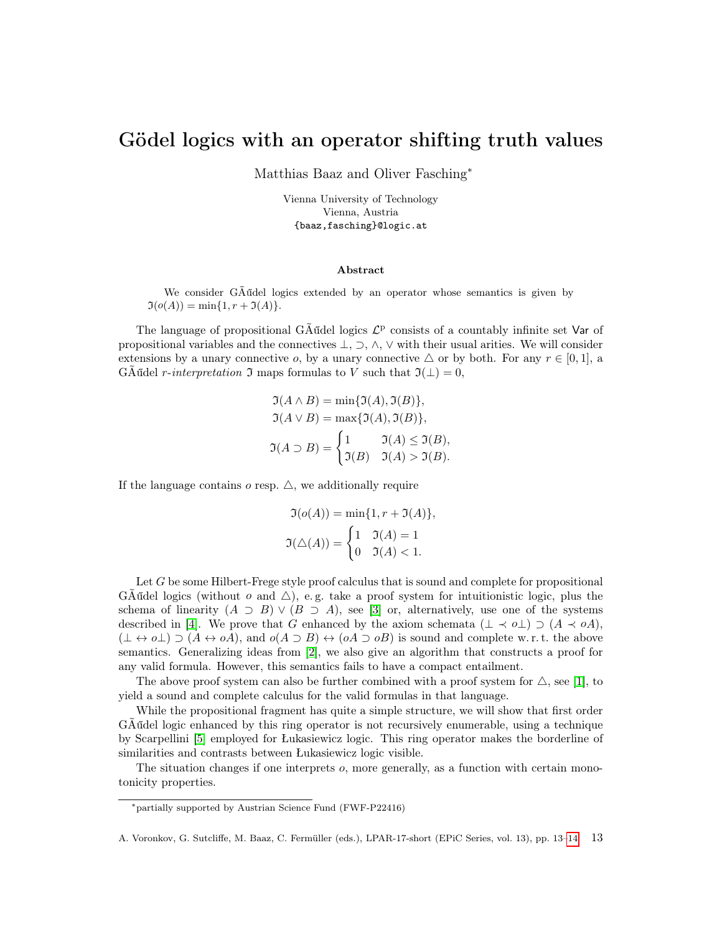## Gödel logics with an operator shifting truth values

Matthias Baaz and Oliver Fasching<sup>∗</sup>

Vienna University of Technology Vienna, Austria {baaz,fasching}@logic.at

## Abstract

We consider GÃűdel logics extended by an operator whose semantics is given by  $\Im(o(A)) = \min\{1, r + \Im(A)\}.$ 

The language of propositional G $\tilde{A}$ űdel logics  $\mathcal{L}^p$  consists of a countably infinite set Var of propositional variables and the connectives  $\bot$ ,  $\supset$ ,  $\wedge$ ,  $\vee$  with their usual arities. We will consider extensions by a unary connective  $o$ , by a unary connective  $\triangle$  or by both. For any  $r \in [0, 1]$ , a GAűdel *r-interpretation*  $\Im$  maps formulas to V such that  $\Im(\bot) = 0$ ,

$$
\mathfrak{I}(A \wedge B) = \min\{\mathfrak{I}(A), \mathfrak{I}(B)\},
$$
  
\n
$$
\mathfrak{I}(A \vee B) = \max\{\mathfrak{I}(A), \mathfrak{I}(B)\},
$$
  
\n
$$
\mathfrak{I}(A \supset B) = \begin{cases} 1 & \mathfrak{I}(A) \leq \mathfrak{I}(B), \\ \mathfrak{I}(B) & \mathfrak{I}(A) > \mathfrak{I}(B). \end{cases}
$$

If the language contains  $o$  resp.  $\triangle$ , we additionally require

$$
\mathfrak{I}(o(A)) = \min\{1, r + \mathfrak{I}(A)\},
$$

$$
\mathfrak{I}(\triangle(A)) = \begin{cases} 1 & \mathfrak{I}(A) = 1 \\ 0 & \mathfrak{I}(A) < 1. \end{cases}
$$

Let G be some Hilbert-Frege style proof calculus that is sound and complete for propositional GÃűdel logics (without  $o$  and  $\triangle$ ), e.g. take a proof system for intuitionistic logic, plus the schema of linearity  $(A \supset B) \vee (B \supset A)$ , see [\[3\]](#page-1-0) or, alternatively, use one of the systems described in [\[4\]](#page-1-1). We prove that G enhanced by the axiom schemata  $(\perp \prec o\perp) \supset (A \prec oA)$ ,  $(\perp \leftrightarrow o\perp) \supset (A \leftrightarrow oA)$ , and  $o(A \supset B) \leftrightarrow (oA \supset oB)$  is sound and complete w.r.t. the above semantics. Generalizing ideas from [\[2\]](#page-1-2), we also give an algorithm that constructs a proof for any valid formula. However, this semantics fails to have a compact entailment.

The above proof system can also be further combined with a proof system for  $\triangle$ , see [\[1\]](#page-1-3), to yield a sound and complete calculus for the valid formulas in that language.

While the propositional fragment has quite a simple structure, we will show that first order GÃűdel logic enhanced by this ring operator is not recursively enumerable, using a technique by Scarpellini [\[5\]](#page-1-4) employed for Łukasiewicz logic. This ring operator makes the borderline of similarities and contrasts between Łukasiewicz logic visible.

The situation changes if one interprets o, more generally, as a function with certain monotonicity properties.

<sup>∗</sup>partially supported by Austrian Science Fund (FWF-P22416)

A. Voronkov, G. Sutcliffe, M. Baaz, C. Fermüller (eds.), LPAR-17-short (EPiC Series, vol. 13), pp. 13[–14](#page-1-5) 13